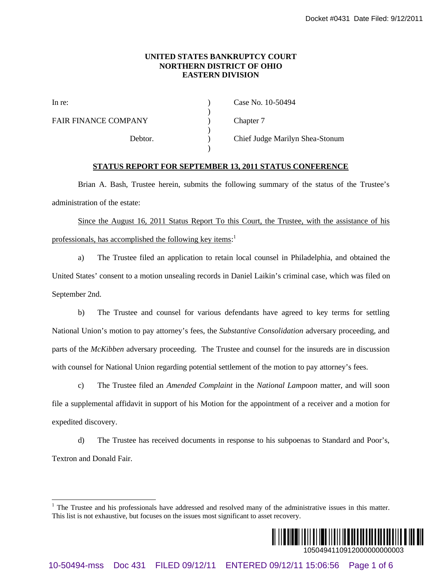## **UNITED STATES BANKRUPTCY COURT NORTHERN DISTRICT OF OHIO EASTERN DIVISION**

| In re:                      | Case No. 10-50494               |
|-----------------------------|---------------------------------|
| <b>FAIR FINANCE COMPANY</b> | Chapter 7                       |
| Debtor.                     | Chief Judge Marilyn Shea-Stonum |

# **STATUS REPORT FOR SEPTEMBER 13, 2011 STATUS CONFERENCE**

Brian A. Bash, Trustee herein, submits the following summary of the status of the Trustee's administration of the estate:

Since the August 16, 2011 Status Report To this Court, the Trustee, with the assistance of his professionals, has accomplished the following key items:<sup>1</sup>

a) The Trustee filed an application to retain local counsel in Philadelphia, and obtained the United States' consent to a motion unsealing records in Daniel Laikin's criminal case, which was filed on September 2nd.

b) The Trustee and counsel for various defendants have agreed to key terms for settling National Union's motion to pay attorney's fees, the *Substantive Consolidation* adversary proceeding, and parts of the *McKibben* adversary proceeding. The Trustee and counsel for the insureds are in discussion with counsel for National Union regarding potential settlement of the motion to pay attorney's fees. 10-6128 BANKINGTY COUNT<br>
10-61494-magnetical Distribution Count<br>
10-40-10-50494<br>
Distribution COMPANY<br>
11-7. Case No. 10-50494<br>
11-7. Case No. 10-50494<br>
11-7. Case Transce Enter A Bank Transce Enter A Bank Transce Enter A

c) The Trustee filed an *Amended Complaint* in the *National Lampoon* matter, and will soon file a supplemental affidavit in support of his Motion for the appointment of a receiver and a motion for expedited discovery.

d) The Trustee has received documents in response to his subpoenas to Standard and Poor's, Textron and Donald Fair.

 $\overline{a}$ 



<sup>&</sup>lt;sup>1</sup> The Trustee and his professionals have addressed and resolved many of the administrative issues in this matter. This list is not exhaustive, but focuses on the issues most significant to asset recovery.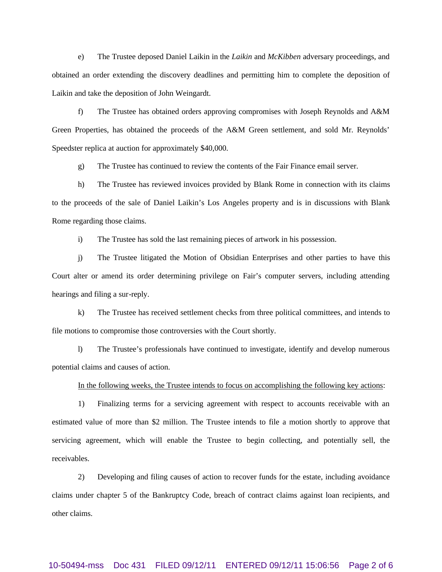e) The Trustee deposed Daniel Laikin in the *Laikin* and *McKibben* adversary proceedings, and obtained an order extending the discovery deadlines and permitting him to complete the deposition of Laikin and take the deposition of John Weingardt.

f) The Trustee has obtained orders approving compromises with Joseph Reynolds and A&M Green Properties, has obtained the proceeds of the A&M Green settlement, and sold Mr. Reynolds' Speedster replica at auction for approximately \$40,000.

g) The Trustee has continued to review the contents of the Fair Finance email server.

h) The Trustee has reviewed invoices provided by Blank Rome in connection with its claims to the proceeds of the sale of Daniel Laikin's Los Angeles property and is in discussions with Blank Rome regarding those claims.

i) The Trustee has sold the last remaining pieces of artwork in his possession.

j) The Trustee litigated the Motion of Obsidian Enterprises and other parties to have this Court alter or amend its order determining privilege on Fair's computer servers, including attending hearings and filing a sur-reply.

k) The Trustee has received settlement checks from three political committees, and intends to file motions to compromise those controversies with the Court shortly.

l) The Trustee's professionals have continued to investigate, identify and develop numerous potential claims and causes of action.

### In the following weeks, the Trustee intends to focus on accomplishing the following key actions:

1) Finalizing terms for a servicing agreement with respect to accounts receivable with an estimated value of more than \$2 million. The Trustee intends to file a motion shortly to approve that servicing agreement, which will enable the Trustee to begin collecting, and potentially sell, the receivables.

2) Developing and filing causes of action to recover funds for the estate, including avoidance claims under chapter 5 of the Bankruptcy Code, breach of contract claims against loan recipients, and other claims.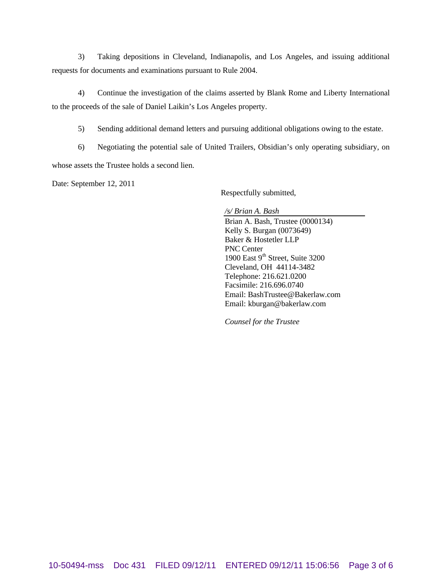3) Taking depositions in Cleveland, Indianapolis, and Los Angeles, and issuing additional requests for documents and examinations pursuant to Rule 2004.

4) Continue the investigation of the claims asserted by Blank Rome and Liberty International to the proceeds of the sale of Daniel Laikin's Los Angeles property.

5) Sending additional demand letters and pursuing additional obligations owing to the estate.

6) Negotiating the potential sale of United Trailers, Obsidian's only operating subsidiary, on whose assets the Trustee holds a second lien.

Date: September 12, 2011

Respectfully submitted,

*/s/ Brian A. Bash* Brian A. Bash, Trustee (0000134) Kelly S. Burgan (0073649) Baker & Hostetler LLP PNC Center 1900 East  $9<sup>th</sup>$  Street, Suite 3200 Cleveland, OH 44114-3482 Telephone: 216.621.0200 Facsimile: 216.696.0740 Email: BashTrustee@Bakerlaw.com Email: kburgan@bakerlaw.com

*Counsel for the Trustee*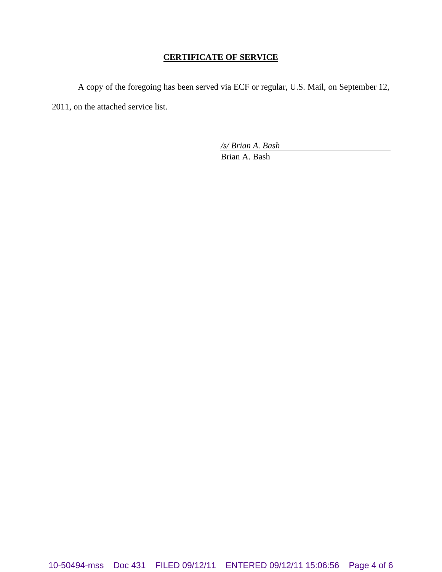# **CERTIFICATE OF SERVICE**

A copy of the foregoing has been served via ECF or regular, U.S. Mail, on September 12, 2011, on the attached service list.

*/s/ Brian A. Bash*

Brian A. Bash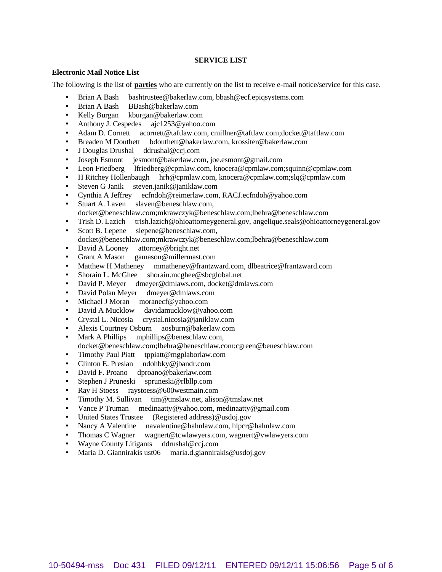## **SERVICE LIST**

### **Electronic Mail Notice List**

The following is the list of **parties** who are currently on the list to receive e-mail notice/service for this case.

- Brian A Bash bashtrustee@bakerlaw.com, bbash@ecf.epiqsystems.com
- Brian A Bash BBash@bakerlaw.com
- Kelly Burgan kburgan@bakerlaw.com
- Anthony J. Cespedes ajc1253@yahoo.com
- Adam D. Cornett acornett@taftlaw.com, cmillner@taftlaw.com;docket@taftlaw.com
- Breaden M Douthett bdouthett@bakerlaw.com, krossiter@bakerlaw.com
- J Douglas Drushal ddrushal@ccj.com
- Joseph Esmont jesmont@bakerlaw.com, joe.esmont@gmail.com
- Leon Friedberg lfriedberg@cpmlaw.com, knocera@cpmlaw.com;squinn@cpmlaw.com
- H Ritchey Hollenbaugh hrh@cpmlaw.com, knocera@cpmlaw.com;slq@cpmlaw.com
- Steven G Janik steven.janik@janiklaw.com
- Cynthia A Jeffrey ecfndoh@reimerlaw.com, RACJ.ecfndoh@yahoo.com
- Stuart A. Laven slaven@beneschlaw.com, docket@beneschlaw.com;mkrawczyk@beneschlaw.com;lbehra@beneschlaw.com
- Trish D. Lazich trish.lazich@ohioattorneygeneral.gov, angelique.seals@ohioattorneygeneral.gov
- Scott B. Lepene slepene@beneschlaw.com, docket@beneschlaw.com;mkrawczyk@beneschlaw.com;lbehra@beneschlaw.com
- David A Looney attorney@bright.net
- Grant A Mason gamason@millermast.com
- Matthew H Matheney mmatheney@frantzward.com, dlbeatrice@frantzward.com
- Shorain L. McGhee shorain.mcghee@sbcglobal.net
- David P. Meyer dmeyer@dmlaws.com, docket@dmlaws.com
- David Polan Meyer dmeyer@dmlaws.com
- Michael J Moran moranecf@yahoo.com
- David A Mucklow davidamucklow@yahoo.com
- Crystal L. Nicosia crystal.nicosia@janiklaw.com
- Alexis Courtney Osburn aosburn@bakerlaw.com
- Mark A Phillips mphillips@beneschlaw.com, docket@beneschlaw.com;lbehra@beneschlaw.com;cgreen@beneschlaw.com
- Timothy Paul Piatt tppiatt@mgplaborlaw.com
- Clinton E. Preslan ndohbky@jbandr.com
- David F. Proano dproano@bakerlaw.com
- Stephen J Pruneski spruneski@rlbllp.com
- Ray H Stoess raystoess@600westmain.com
- Timothy M. Sullivan tim@tmslaw.net, alison@tmslaw.net
- Vance P Truman medinaatty@yahoo.com, medinaatty@gmail.com
- United States Trustee (Registered address)@usdoj.gov
- Nancy A Valentine navalentine@hahnlaw.com, hlpcr@hahnlaw.com
- Thomas C Wagner wagnert@tcwlawyers.com, wagnert@vwlawyers.com
- Wayne County Litigants ddrushal@ccj.com
- Maria D. Giannirakis ust06 maria.d.giannirakis@usdoj.gov